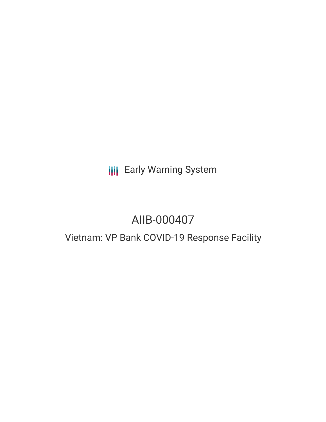# **III** Early Warning System

# AIIB-000407

# Vietnam: VP Bank COVID-19 Response Facility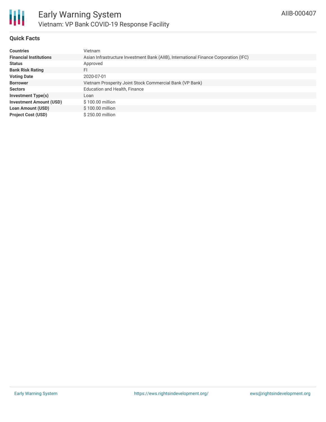

### **Quick Facts**

| <b>Countries</b>               | <b>Vietnam</b>                                                                       |
|--------------------------------|--------------------------------------------------------------------------------------|
| <b>Financial Institutions</b>  | Asian Infrastructure Investment Bank (AIIB), International Finance Corporation (IFC) |
| <b>Status</b>                  | Approved                                                                             |
| <b>Bank Risk Rating</b>        | FI                                                                                   |
| <b>Voting Date</b>             | 2020-07-01                                                                           |
| <b>Borrower</b>                | Vietnam Prosperity Joint Stock Commercial Bank (VP Bank)                             |
| <b>Sectors</b>                 | Education and Health, Finance                                                        |
| <b>Investment Type(s)</b>      | Loan                                                                                 |
| <b>Investment Amount (USD)</b> | \$100.00 million                                                                     |
| <b>Loan Amount (USD)</b>       | \$100.00 million                                                                     |
| <b>Project Cost (USD)</b>      | \$250.00 million                                                                     |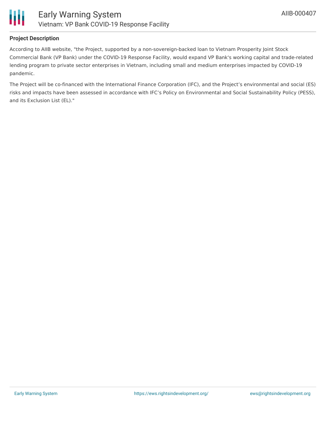

### **Project Description**

According to AIIB website, "the Project, supported by a non-sovereign-backed loan to Vietnam Prosperity Joint Stock Commercial Bank (VP Bank) under the COVID-19 Response Facility, would expand VP Bank's working capital and trade-related lending program to private sector enterprises in Vietnam, including small and medium enterprises impacted by COVID-19 pandemic.

The Project will be co-financed with the International Finance Corporation (IFC), and the Project's environmental and social (ES) risks and impacts have been assessed in accordance with IFC's Policy on Environmental and Social Sustainability Policy (PESS), and its Exclusion List (EL)."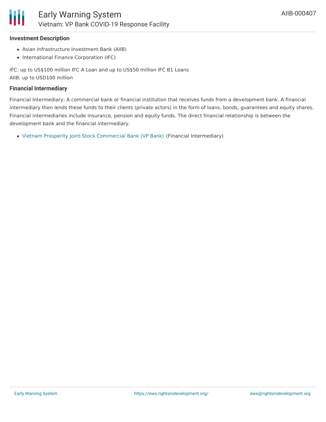

#### **Investment Description**

- Asian Infrastructure Investment Bank (AIIB)
- International Finance Corporation (IFC)

IFC: up to US\$100 million IFC A Loan and up to US\$50 million IFC B1 Loans AIIB: up to USD100 million

#### **Financial Intermediary**

Financial Intermediary: A commercial bank or financial institution that receives funds from a development bank. A financial intermediary then lends these funds to their clients (private actors) in the form of loans, bonds, guarantees and equity shares. Financial intermediaries include insurance, pension and equity funds. The direct financial relationship is between the development bank and the financial intermediary.

Vietnam Prosperity Joint-Stock [Commercial](file:///actor/2521/) Bank (VP Bank) (Financial Intermediary)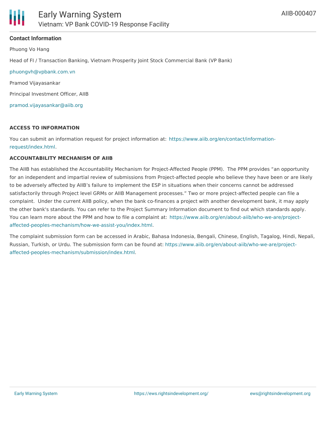#### **Contact Information**

Phuong Vo Hang Head of FI / Transaction Banking, Vietnam Prosperity Joint Stock Commercial Bank (VP Bank) [phuongvh@vpbank.com.vn](mailto:phuongvh@vpbank.com.vn;) Pramod Vijayasankar Principal Investment Officer, AIIB [pramod.vijayasankar@aiib.org](mailto:pramod.vijayasankar@aiib.org;)

#### **ACCESS TO INFORMATION**

You can submit an information request for project information at: [https://www.aiib.org/en/contact/information](https://www.aiib.org/en/contact/information-request/index.html)request/index.html.

#### **ACCOUNTABILITY MECHANISM OF AIIB**

The AIIB has established the Accountability Mechanism for Project-Affected People (PPM). The PPM provides "an opportunity for an independent and impartial review of submissions from Project-affected people who believe they have been or are likely to be adversely affected by AIIB's failure to implement the ESP in situations when their concerns cannot be addressed satisfactorily through Project level GRMs or AIIB Management processes." Two or more project-affected people can file a complaint. Under the current AIIB policy, when the bank co-finances a project with another development bank, it may apply the other bank's standards. You can refer to the Project Summary Information document to find out which standards apply. You can learn more about the PPM and how to file a complaint at: https://www.aiib.org/en/about-aiib/who-we-are/project[affected-peoples-mechanism/how-we-assist-you/index.html.](https://www.aiib.org/en/about-aiib/who-we-are/project-affected-peoples-mechanism/how-we-assist-you/index.html)

The complaint submission form can be accessed in Arabic, Bahasa Indonesia, Bengali, Chinese, English, Tagalog, Hindi, Nepali, Russian, Turkish, or Urdu. The submission form can be found at: [https://www.aiib.org/en/about-aiib/who-we-are/project](https://www.aiib.org/en/about-aiib/who-we-are/project-affected-peoples-mechanism/submission/index.html)affected-peoples-mechanism/submission/index.html.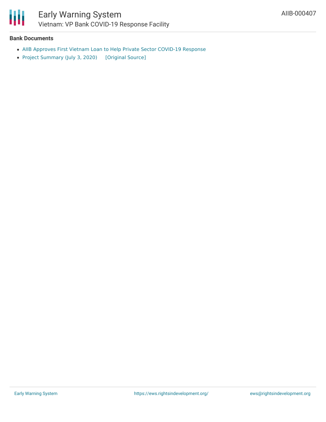

#### **Bank Documents**

- AIIB Approves First Vietnam Loan to Help Private Sector [COVID-19](https://www.aiib.org/en/news-events/news/2020/AIIB-Approves-First-Vietnam-Loan-to-Help-Private-Sector-COVID-19-Response.html) Response
- Project [Summary](https://ewsdata.rightsindevelopment.org/files/documents/07/AIIB-000407.pdf) (July 3, 2020) [\[Original](https://www.aiib.org/en/projects/details/2020/proposed/_download/vietnam/PSI-P000407-VP-Bank-COVID-19-Response-Facility-July-3-2020.pdf) Source]